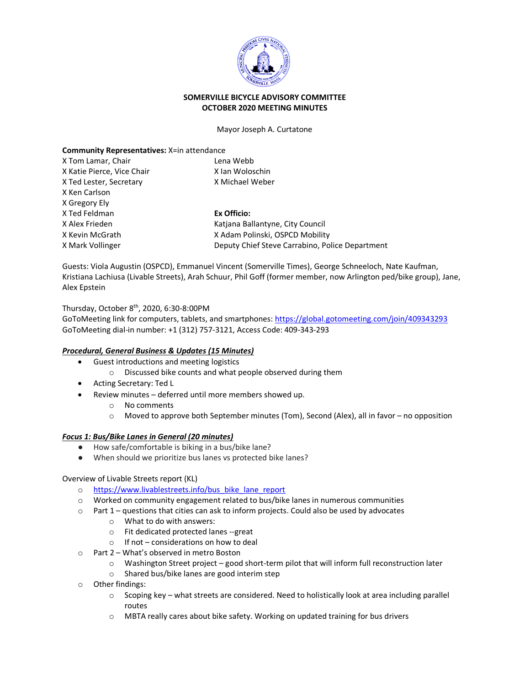

## **SOMERVILLE BICYCLE ADVISORY COMMITTEE OCTOBER 2020 MEETING MINUTES**

#### Mayor Joseph A. Curtatone

### **Community Representatives:** X=in attendance

| X Tom Lamar, Chair         | Lena Webb                                       |
|----------------------------|-------------------------------------------------|
| X Katie Pierce, Vice Chair | X Ian Woloschin                                 |
| X Ted Lester, Secretary    | X Michael Weber                                 |
| X Ken Carlson              |                                                 |
| X Gregory Ely              |                                                 |
| X Ted Feldman              | Ex Officio:                                     |
| X Alex Frieden             | Katiana Ballantyne, City Council                |
| X Kevin McGrath            | X Adam Polinski, OSPCD Mobility                 |
| X Mark Vollinger           | Deputy Chief Steve Carrabino, Police Department |

Guests: Viola Augustin (OSPCD), Emmanuel Vincent (Somerville Times), George Schneeloch, Nate Kaufman, Kristiana Lachiusa (Livable Streets), Arah Schuur, Phil Goff (former member, now Arlington ped/bike group), Jane, Alex Epstein

Thursday, October 8th, 2020, 6:30-8:00PM

GoToMeeting link for computers, tablets, and smartphones: <https://global.gotomeeting.com/join/409343293> GoToMeeting dial-in number: +1 (312) 757-3121, Access Code: 409-343-293

## *Procedural, General Business & Updates (15 Minutes)*

- Guest introductions and meeting logistics
	- o Discussed bike counts and what people observed during them
- Acting Secretary: Ted L
- Review minutes deferred until more members showed up.
	- o No comments
	- $\circ$  Moved to approve both September minutes (Tom), Second (Alex), all in favor no opposition

#### *Focus 1: Bus/Bike Lanes in General (20 minutes)*

- How safe/comfortable is biking in a bus/bike lane?
- When should we prioritize bus lanes vs protected bike lanes?

#### Overview of Livable Streets report (KL)

- o [https://www.livablestreets.info/bus\\_bike\\_lane\\_report](https://www.livablestreets.info/bus_bike_lane_report)
- $\circ$  Worked on community engagement related to bus/bike lanes in numerous communities
- $\circ$  Part 1 questions that cities can ask to inform projects. Could also be used by advocates
	- o What to do with answers:
	- o Fit dedicated protected lanes --great
	- $\circ$  If not considerations on how to deal
- o Part 2 What's observed in metro Boston
	- $\circ$  Washington Street project good short-term pilot that will inform full reconstruction later
	- o Shared bus/bike lanes are good interim step
- o Other findings:
	- o Scoping key what streets are considered. Need to holistically look at area including parallel routes
	- o MBTA really cares about bike safety. Working on updated training for bus drivers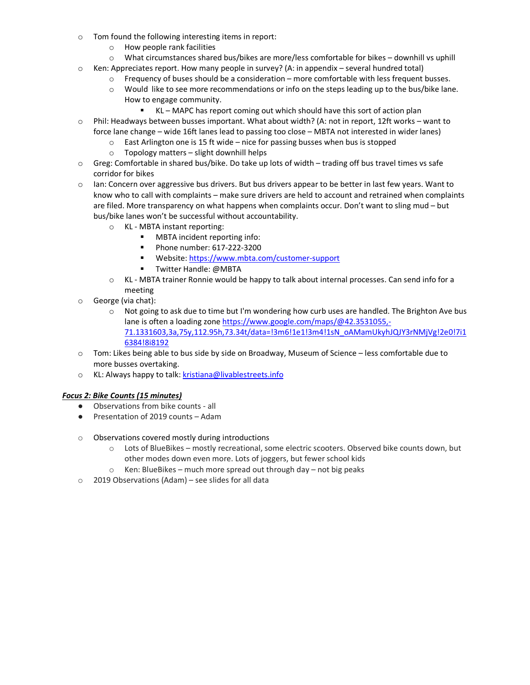- o Tom found the following interesting items in report:
	- o How people rank facilities
	- o What circumstances shared bus/bikes are more/less comfortable for bikes downhill vs uphill
- $\circ$  Ken: Appreciates report. How many people in survey? (A: in appendix several hundred total)
	- $\circ$  Frequency of buses should be a consideration more comfortable with less frequent busses.
	- o Would like to see more recommendations or info on the steps leading up to the bus/bike lane. How to engage community.
		- KL MAPC has report coming out which should have this sort of action plan
- o Phil: Headways between busses important. What about width? (A: not in report, 12ft works want to force lane change – wide 16ft lanes lead to passing too close – MBTA not interested in wider lanes)
	- o East Arlington one is 15 ft wide nice for passing busses when bus is stopped
	- o Topology matters slight downhill helps
- $\circ$  Greg: Comfortable in shared bus/bike. Do take up lots of width trading off bus travel times vs safe corridor for bikes
- $\circ$  Ian: Concern over aggressive bus drivers. But bus drivers appear to be better in last few years. Want to know who to call with complaints – make sure drivers are held to account and retrained when complaints are filed. More transparency on what happens when complaints occur. Don't want to sling mud – but bus/bike lanes won't be successful without accountability.
	- O KL MBTA instant reporting:<br>■ MBTA incident repo
		- MBTA incident reporting info:
		- **Phone number: 617-222-3200**
		- Website[: https://www.mbta.com/customer-support](https://www.mbta.com/customer-support)
		- **T** Twitter Handle: @MBTA
	- o KL MBTA trainer Ronnie would be happy to talk about internal processes. Can send info for a meeting
- o George (via chat):
	- $\circ$  Not going to ask due to time but I'm wondering how curb uses are handled. The Brighton Ave bus lane is often a loading zone [https://www.google.com/maps/@42.3531055,-](https://www.google.com/maps/@42.3531055,-71.1331603,3a,75y,112.95h,73.34t/data=!3m6!1e1!3m4!1sN_oAMamUkyhJQJY3rNMjVg!2e0!7i16384!8i8192) [71.1331603,3a,75y,112.95h,73.34t/data=!3m6!1e1!3m4!1sN\\_oAMamUkyhJQJY3rNMjVg!2e0!7i1](https://www.google.com/maps/@42.3531055,-71.1331603,3a,75y,112.95h,73.34t/data=!3m6!1e1!3m4!1sN_oAMamUkyhJQJY3rNMjVg!2e0!7i16384!8i8192) [6384!8i8192](https://www.google.com/maps/@42.3531055,-71.1331603,3a,75y,112.95h,73.34t/data=!3m6!1e1!3m4!1sN_oAMamUkyhJQJY3rNMjVg!2e0!7i16384!8i8192)
- $\circ$  Tom: Likes being able to bus side by side on Broadway, Museum of Science less comfortable due to more busses overtaking.
- o KL: Always happy to talk[: kristiana@livablestreets.info](mailto:kristiana@livablestreets.info)

# *Focus 2: Bike Counts (15 minutes)*

- Observations from bike counts all
- Presentation of 2019 counts Adam
- o Observations covered mostly during introductions
	- o Lots of BlueBikes mostly recreational, some electric scooters. Observed bike counts down, but other modes down even more. Lots of joggers, but fewer school kids
	- o Ken: BlueBikes much more spread out through day not big peaks
- o 2019 Observations (Adam) see slides for all data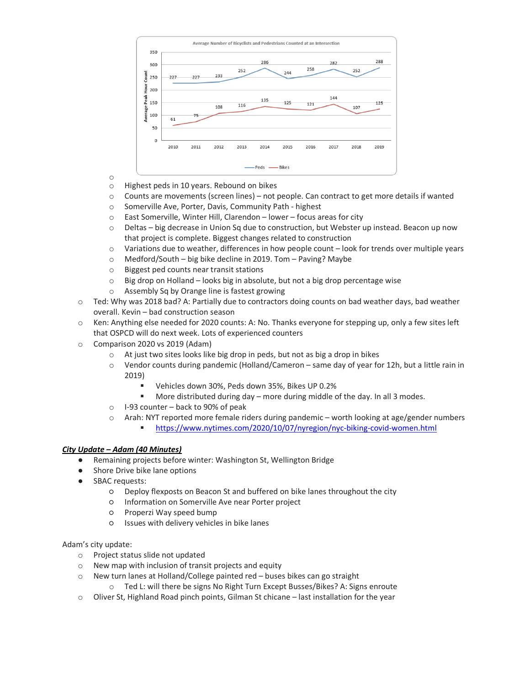

- o
- Highest peds in 10 years. Rebound on bikes
- o Counts are movements (screen lines) not people. Can contract to get more details if wanted
- o Somerville Ave, Porter, Davis, Community Path highest
- o East Somerville, Winter Hill, Clarendon lower focus areas for city
- o Deltas big decrease in Union Sq due to construction, but Webster up instead. Beacon up now that project is complete. Biggest changes related to construction
- o Variations due to weather, differences in how people count look for trends over multiple years
- $\circ$  Medford/South big bike decline in 2019. Tom Paving? Maybe  $\circ$  Biggest ped counts near transit stations
- Biggest ped counts near transit stations
- $\circ$  Big drop on Holland looks big in absolute, but not a big drop percentage wise
- o Assembly Sq by Orange line is fastest growing
- $\circ$  Ted: Why was 2018 bad? A: Partially due to contractors doing counts on bad weather days, bad weather overall. Kevin – bad construction season
- o Ken: Anything else needed for 2020 counts: A: No. Thanks everyone for stepping up, only a few sites left that OSPCD will do next week. Lots of experienced counters
- o Comparison 2020 vs 2019 (Adam)
	- o At just two sites looks like big drop in peds, but not as big a drop in bikes
	- o Vendor counts during pandemic (Holland/Cameron same day of year for 12h, but a little rain in 2019)
		- Vehicles down 30%, Peds down 35%, Bikes UP 0.2%
		- More distributed during day more during middle of the day. In all 3 modes.
	- o I-93 counter back to 90% of peak
	- $\circ$  Arah: NYT reported more female riders during pandemic worth looking at age/gender numbers
		- <https://www.nytimes.com/2020/10/07/nyregion/nyc-biking-covid-women.html>

## *City Update – Adam (40 Minutes)*

- Remaining projects before winter: Washington St, Wellington Bridge
- Shore Drive bike lane options
- SBAC requests:
	- Deploy flexposts on Beacon St and buffered on bike lanes throughout the city
	- Information on Somerville Ave near Porter project
	- Properzi Way speed bump
	- Issues with delivery vehicles in bike lanes

Adam's city update:

- o Project status slide not updated
- o New map with inclusion of transit projects and equity
- o New turn lanes at Holland/College painted red buses bikes can go straight
	- o Ted L: will there be signs No Right Turn Except Busses/Bikes? A: Signs enroute
- $\circ$  Oliver St, Highland Road pinch points, Gilman St chicane last installation for the year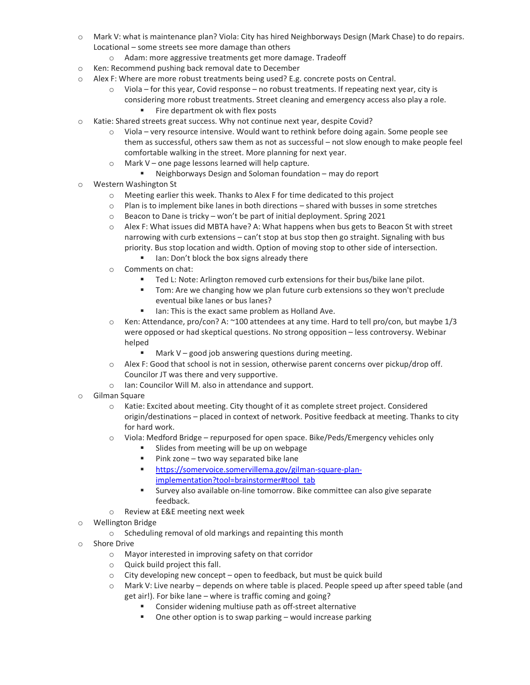- o Mark V: what is maintenance plan? Viola: City has hired Neighborways Design (Mark Chase) to do repairs. Locational – some streets see more damage than others
	- o Adam: more aggressive treatments get more damage. Tradeoff
- o Ken: Recommend pushing back removal date to December
- $\circ$  Alex F: Where are more robust treatments being used? E.g. concrete posts on Central.
	- $\circ$  Viola for this year, Covid response no robust treatments. If repeating next year, city is considering more robust treatments. Street cleaning and emergency access also play a role.
		- Fire department ok with flex posts
- o Katie: Shared streets great success. Why not continue next year, despite Covid?
	- o Viola very resource intensive. Would want to rethink before doing again. Some people see them as successful, others saw them as not as successful – not slow enough to make people feel comfortable walking in the street. More planning for next year.
	- o Mark V one page lessons learned will help capture.
		- Neighborways Design and Soloman foundation may do report
- o Western Washington St
	- o Meeting earlier this week. Thanks to Alex F for time dedicated to this project
	- $\circ$  Plan is to implement bike lanes in both directions shared with busses in some stretches
	- o Beacon to Dane is tricky won't be part of initial deployment. Spring 2021
	- o Alex F: What issues did MBTA have? A: What happens when bus gets to Beacon St with street narrowing with curb extensions – can't stop at bus stop then go straight. Signaling with bus priority. Bus stop location and width. Option of moving stop to other side of intersection.
		- Inn: Don't block the box signs already there
	- o Comments on chat:
		- **Ted L: Note: Arlington removed curb extensions for their bus/bike lane pilot.**
		- Tom: Are we changing how we plan future curb extensions so they won't preclude eventual bike lanes or bus lanes?
		- Ich Ian: This is the exact same problem as Holland Ave.
	- o Ken: Attendance, pro/con? A: ~100 attendees at any time. Hard to tell pro/con, but maybe 1/3 were opposed or had skeptical questions. No strong opposition – less controversy. Webinar helped
		- $M =$  Mark V good job answering questions during meeting.
	- $\circ$  Alex F: Good that school is not in session, otherwise parent concerns over pickup/drop off. Councilor JT was there and very supportive.
	- o Ian: Councilor Will M. also in attendance and support.
- o Gilman Square
	- o Katie: Excited about meeting. City thought of it as complete street project. Considered origin/destinations – placed in context of network. Positive feedback at meeting. Thanks to city for hard work.
	- o Viola: Medford Bridge repurposed for open space. Bike/Peds/Emergency vehicles only
		- Slides from meeting will be up on webpage
		- $\blacksquare$  Pink zone two way separated bike lane
		- [https://somervoice.somervillema.gov/gilman-square-plan](https://somervoice.somervillema.gov/gilman-square-plan-implementation?tool=brainstormer#tool_tab)[implementation?tool=brainstormer#tool\\_tab](https://somervoice.somervillema.gov/gilman-square-plan-implementation?tool=brainstormer#tool_tab)
		- Survey also available on-line tomorrow. Bike committee can also give separate feedback.
	- o Review at E&E meeting next week
- o Wellington Bridge
	- o Scheduling removal of old markings and repainting this month
- o Shore Drive
	- o Mayor interested in improving safety on that corridor
	- o Quick build project this fall.
	- o City developing new concept open to feedback, but must be quick build
	- o Mark V: Live nearby depends on where table is placed. People speed up after speed table (and get air!). For bike lane – where is traffic coming and going?
		- Consider widening multiuse path as off-street alternative
		- One other option is to swap parking would increase parking